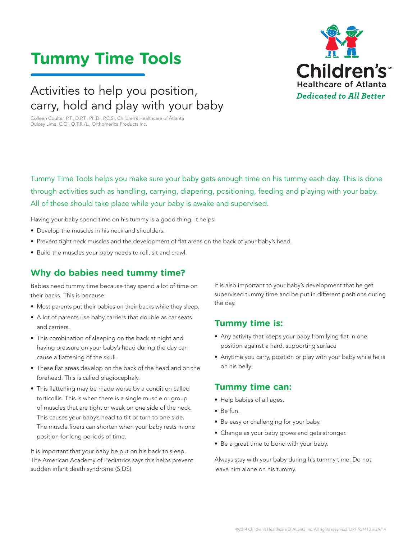# **Tummy Time Tools**

## Activities to help you position, carry, hold and play with your baby

Colleen Coulter, P.T., D.P.T., Ph.D., P.C.S., Children's Healthcare of Atlanta Dulcey Lima, C.O., O.T.R./L., Orthomerica Products Inc.



Tummy Time Tools helps you make sure your baby gets enough time on his tummy each day. This is done through activities such as handling, carrying, diapering, positioning, feeding and playing with your baby. All of these should take place while your baby is awake and supervised.

Having your baby spend time on his tummy is a good thing. It helps:

- Develop the muscles in his neck and shoulders.
- Prevent tight neck muscles and the development of flat areas on the back of your baby's head.
- Build the muscles your baby needs to roll, sit and crawl.

#### **Why do babies need tummy time?**

Babies need tummy time because they spend a lot of time on their backs. This is because:

- Most parents put their babies on their backs while they sleep.
- A lot of parents use baby carriers that double as car seats and carriers.
- This combination of sleeping on the back at night and having pressure on your baby's head during the day can cause a flattening of the skull.
- These flat areas develop on the back of the head and on the forehead. This is called plagiocephaly.
- This flattening may be made worse by a condition called torticollis. This is when there is a single muscle or group of muscles that are tight or weak on one side of the neck. This causes your baby's head to tilt or turn to one side. The muscle fibers can shorten when your baby rests in one position for long periods of time.

It is important that your baby be put on his back to sleep. The American Academy of Pediatrics says this helps prevent sudden infant death syndrome (SIDS).

It is also important to your baby's development that he get supervised tummy time and be put in different positions during the day.

#### **Tummy time is:**

- Any activity that keeps your baby from lying flat in one position against a hard, supporting surface
- Anytime you carry, position or play with your baby while he is on his belly

#### **Tummy time can:**

- Help babies of all ages.
- Be fun.
- Be easy or challenging for your baby.
- Change as your baby grows and gets stronger.
- Be a great time to bond with your baby.

Always stay with your baby during his tummy time. Do not leave him alone on his tummy.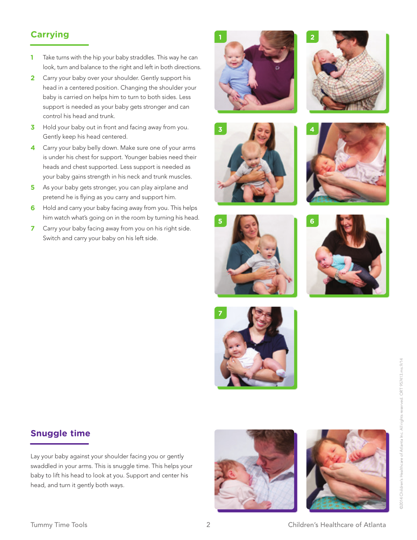#### **Carrying**

- **1** Take turns with the hip your baby straddles. This way he can look, turn and balance to the right and left in both directions.
- **2** Carry your baby over your shoulder. Gently support his head in a centered position. Changing the shoulder your baby is carried on helps him to turn to both sides. Less support is needed as your baby gets stronger and can control his head and trunk.
- **3** Hold your baby out in front and facing away from you. Gently keep his head centered.
- **4** Carry your baby belly down. Make sure one of your arms is under his chest for support. Younger babies need their heads and chest supported. Less support is needed as your baby gains strength in his neck and trunk muscles.
- **5** As your baby gets stronger, you can play airplane and pretend he is flying as you carry and support him.
- **6** Hold and carry your baby facing away from you. This helps him watch what's going on in the room by turning his head.
- **7** Carry your baby facing away from you on his right side. Switch and carry your baby on his left side.

















#### **Snuggle time**

Lay your baby against your shoulder facing you or gently swaddled in your arms. This is snuggle time. This helps your baby to lift his head to look at you. Support and center his head, and turn it gently both ways.





92014 Children's Healthcare of Atlanta Inc. All rights reserved. ORT 957413.ms.9/14 ©2014 Children's Healthcare of Atlanta Inc. All rights reserved. ORT 957413.ms.9/14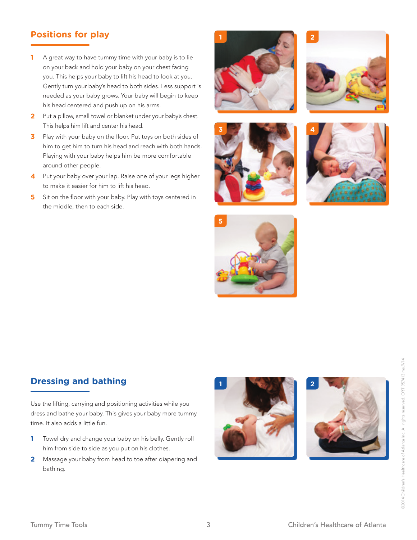#### **Positions for play**

- **1** A great way to have tummy time with your baby is to lie on your back and hold your baby on your chest facing you. This helps your baby to lift his head to look at you. Gently turn your baby's head to both sides. Less support is needed as your baby grows. Your baby will begin to keep his head centered and push up on his arms.
- **2** Put a pillow, small towel or blanket under your baby's chest. This helps him lift and center his head.
- **3** Play with your baby on the floor. Put toys on both sides of him to get him to turn his head and reach with both hands. Playing with your baby helps him be more comfortable around other people.
- **4** Put your baby over your lap. Raise one of your legs higher to make it easier for him to lift his head.
- **5** Sit on the floor with your baby. Play with toys centered in the middle, then to each side.











#### **Dressing and bathing**

Use the lifting, carrying and positioning activities while you dress and bathe your baby. This gives your baby more tummy time. It also adds a little fun.

- **1** Towel dry and change your baby on his belly. Gently roll him from side to side as you put on his clothes.
- **2** Massage your baby from head to toe after diapering and bathing.



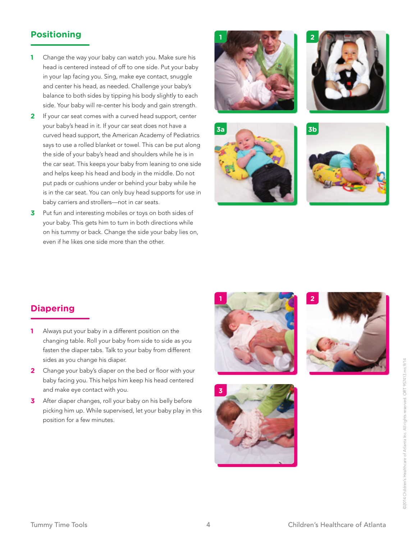#### **Positioning**

- **1** Change the way your baby can watch you. Make sure his head is centered instead of off to one side. Put your baby in your lap facing you. Sing, make eye contact, snuggle and center his head, as needed. Challenge your baby's balance to both sides by tipping his body slightly to each side. Your baby will re-center his body and gain strength.
- **2** If your car seat comes with a curved head support, center your baby's head in it. If your car seat does not have a curved head support, the American Academy of Pediatrics says to use a rolled blanket or towel. This can be put along the side of your baby's head and shoulders while he is in the car seat. This keeps your baby from leaning to one side and helps keep his head and body in the middle. Do not put pads or cushions under or behind your baby while he is in the car seat. You can only buy head supports for use in baby carriers and strollers—not in car seats.
- **3** Put fun and interesting mobiles or toys on both sides of your baby. This gets him to turn in both directions while on his tummy or back. Change the side your baby lies on, even if he likes one side more than the other.









#### **Diapering**

- **1** Always put your baby in a different position on the changing table. Roll your baby from side to side as you fasten the diaper tabs. Talk to your baby from different sides as you change his diaper.
- **2** Change your baby's diaper on the bed or floor with your baby facing you. This helps him keep his head centered and make eye contact with you.
- **3** After diaper changes, roll your baby on his belly before picking him up. While supervised, let your baby play in this position for a few minutes.







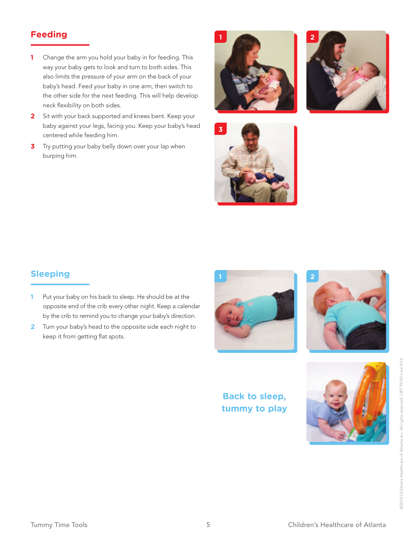#### **Feeding**

- **1** Change the arm you hold your baby in for feeding. This way your baby gets to look and turn to both sides. This also limits the pressure of your arm on the back of your baby's head. Feed your baby in one arm, then switch to the other side for the next feeding. This will help develop neck flexibility on both sides.
- **2** Sit with your back supported and knees bent. Keep your baby against your legs, facing you. Keep your baby's head centered while feeding him.
- **3** Try putting your baby belly down over your lap when burping him.







### **Sleeping**

- **1** Put your baby on his back to sleep. He should be at the opposite end of the crib every other night. Keep a calendar by the crib to remind you to change your baby's direction.
- **2** Turn your baby's head to the opposite side each night to keep it from getting flat spots.





#### **Back to sleep, tummy to play**